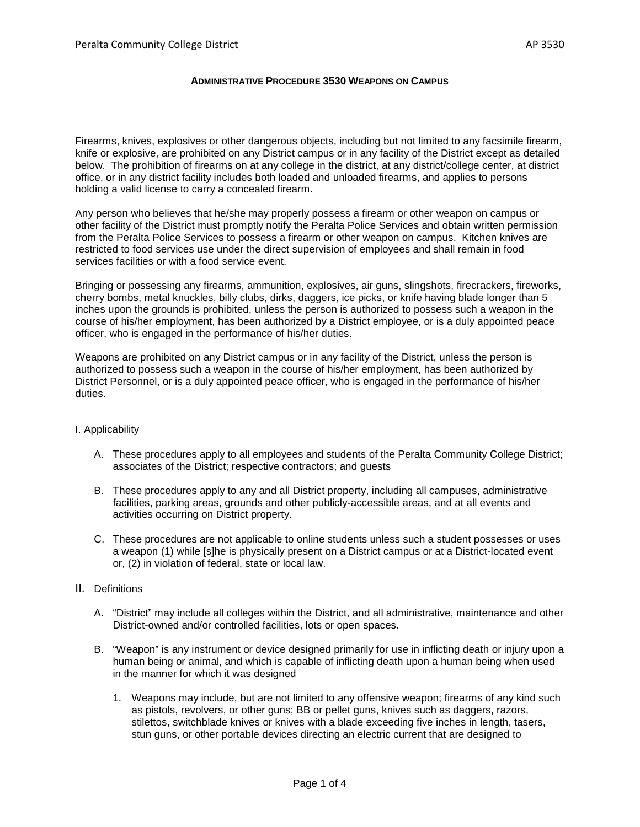## **ADMINISTRATIVE PROCEDURE 3530 WEAPONS ON CAMPUS**

Firearms, knives, explosives or other dangerous objects, including but not limited to any facsimile firearm, knife or explosive, are prohibited on any District campus or in any facility of the District except as detailed below. The prohibition of firearms on at any college in the district, at any district/college center, at district office, or in any district facility includes both loaded and unloaded firearms, and applies to persons holding a valid license to carry a concealed firearm.

Any person who believes that he/she may properly possess a firearm or other weapon on campus or other facility of the District must promptly notify the Peralta Police Services and obtain written permission from the Peralta Police Services to possess a firearm or other weapon on campus. Kitchen knives are restricted to food services use under the direct supervision of employees and shall remain in food services facilities or with a food service event.

Bringing or possessing any firearms, ammunition, explosives, air guns, slingshots, firecrackers, fireworks, cherry bombs, metal knuckles, billy clubs, dirks, daggers, ice picks, or knife having blade longer than 5 inches upon the grounds is prohibited, unless the person is authorized to possess such a weapon in the course of his/her employment, has been authorized by a District employee, or is a duly appointed peace officer, who is engaged in the performance of his/her duties.

Weapons are prohibited on any District campus or in any facility of the District, unless the person is authorized to possess such a weapon in the course of his/her employment, has been authorized by District Personnel, or is a duly appointed peace officer, who is engaged in the performance of his/her duties.

## I. Applicability

- A. These procedures apply to all employees and students of the Peralta Community College District; associates of the District; respective contractors; and guests
- B. These procedures apply to any and all District property, including all campuses, administrative facilities, parking areas, grounds and other publicly-accessible areas, and at all events and activities occurring on District property.
- C. These procedures are not applicable to online students unless such a student possesses or uses a weapon (1) while [s]he is physically present on a District campus or at a District-located event or, (2) in violation of federal, state or local law.
- II. Definitions
	- A. "District" may include all colleges within the District, and all administrative, maintenance and other District-owned and/or controlled facilities, lots or open spaces.
	- B. "Weapon" is any instrument or device designed primarily for use in inflicting death or injury upon a human being or animal, and which is capable of inflicting death upon a human being when used in the manner for which it was designed
		- 1. Weapons may include, but are not limited to any offensive weapon; firearms of any kind such as pistols, revolvers, or other guns; BB or pellet guns, knives such as daggers, razors, stilettos, switchblade knives or knives with a blade exceeding five inches in length, tasers, stun guns, or other portable devices directing an electric current that are designed to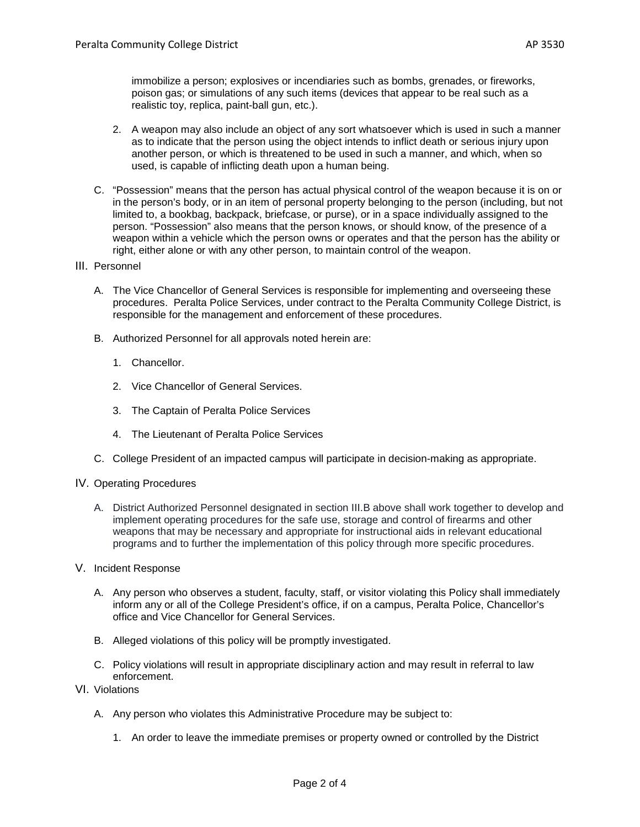immobilize a person; explosives or incendiaries such as bombs, grenades, or fireworks, poison gas; or simulations of any such items (devices that appear to be real such as a realistic toy, replica, paint-ball gun, etc.).

- 2. A weapon may also include an object of any sort whatsoever which is used in such a manner as to indicate that the person using the object intends to inflict death or serious injury upon another person, or which is threatened to be used in such a manner, and which, when so used, is capable of inflicting death upon a human being.
- C. "Possession" means that the person has actual physical control of the weapon because it is on or in the person's body, or in an item of personal property belonging to the person (including, but not limited to, a bookbag, backpack, briefcase, or purse), or in a space individually assigned to the person. "Possession" also means that the person knows, or should know, of the presence of a weapon within a vehicle which the person owns or operates and that the person has the ability or right, either alone or with any other person, to maintain control of the weapon.
- III. Personnel
	- A. The Vice Chancellor of General Services is responsible for implementing and overseeing these procedures. Peralta Police Services, under contract to the Peralta Community College District, is responsible for the management and enforcement of these procedures.
	- B. Authorized Personnel for all approvals noted herein are:
		- 1. Chancellor.
		- 2. Vice Chancellor of General Services.
		- 3. The Captain of Peralta Police Services
		- 4. The Lieutenant of Peralta Police Services
	- C. College President of an impacted campus will participate in decision-making as appropriate.
- IV. Operating Procedures
	- A. District Authorized Personnel designated in section III.B above shall work together to develop and implement operating procedures for the safe use, storage and control of firearms and other weapons that may be necessary and appropriate for instructional aids in relevant educational programs and to further the implementation of this policy through more specific procedures.
- V. Incident Response
	- A. Any person who observes a student, faculty, staff, or visitor violating this Policy shall immediately inform any or all of the College President's office, if on a campus, Peralta Police, Chancellor's office and Vice Chancellor for General Services.
	- B. Alleged violations of this policy will be promptly investigated.
	- C. Policy violations will result in appropriate disciplinary action and may result in referral to law enforcement.
- VI. Violations
	- A. Any person who violates this Administrative Procedure may be subject to:
		- 1. An order to leave the immediate premises or property owned or controlled by the District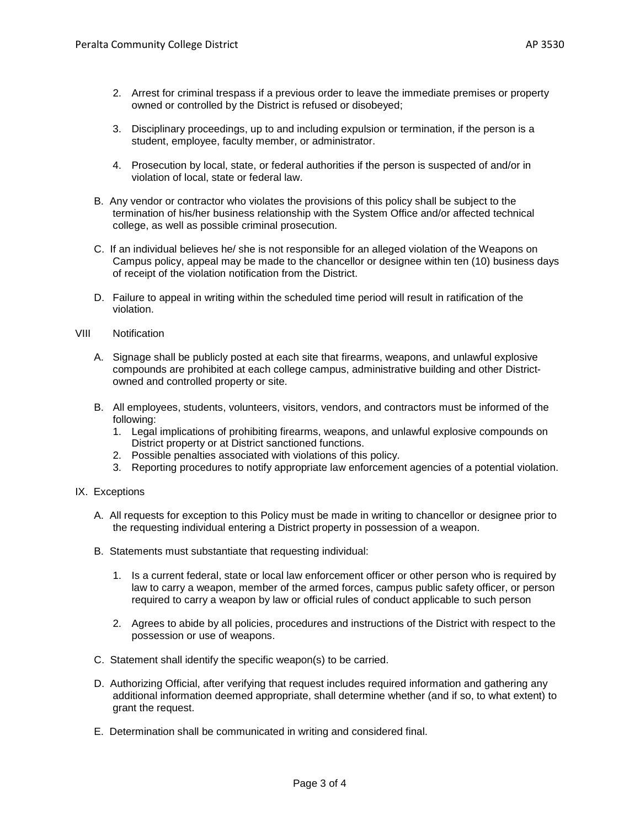- 3. Disciplinary proceedings, up to and including expulsion or termination, if the person is a student, employee, faculty member, or administrator.
- 4. Prosecution by local, state, or federal authorities if the person is suspected of and/or in violation of local, state or federal law.
- B. Any vendor or contractor who violates the provisions of this policy shall be subject to the termination of his/her business relationship with the System Office and/or affected technical college, as well as possible criminal prosecution.
- C. If an individual believes he/ she is not responsible for an alleged violation of the Weapons on Campus policy, appeal may be made to the chancellor or designee within ten (10) business days of receipt of the violation notification from the District.
- D. Failure to appeal in writing within the scheduled time period will result in ratification of the violation.
- VIII Notification
	- A. Signage shall be publicly posted at each site that firearms, weapons, and unlawful explosive compounds are prohibited at each college campus, administrative building and other Districtowned and controlled property or site.
	- B. All employees, students, volunteers, visitors, vendors, and contractors must be informed of the following:
		- 1. Legal implications of prohibiting firearms, weapons, and unlawful explosive compounds on District property or at District sanctioned functions.
		- 2. Possible penalties associated with violations of this policy.
		- 3. Reporting procedures to notify appropriate law enforcement agencies of a potential violation.
- IX. Exceptions
	- A. All requests for exception to this Policy must be made in writing to chancellor or designee prior to the requesting individual entering a District property in possession of a weapon.
	- B. Statements must substantiate that requesting individual:
		- 1. Is a current federal, state or local law enforcement officer or other person who is required by law to carry a weapon, member of the armed forces, campus public safety officer, or person required to carry a weapon by law or official rules of conduct applicable to such person
		- 2. Agrees to abide by all policies, procedures and instructions of the District with respect to the possession or use of weapons.
	- C. Statement shall identify the specific weapon(s) to be carried.
	- D. Authorizing Official, after verifying that request includes required information and gathering any additional information deemed appropriate, shall determine whether (and if so, to what extent) to grant the request.
	- E. Determination shall be communicated in writing and considered final.